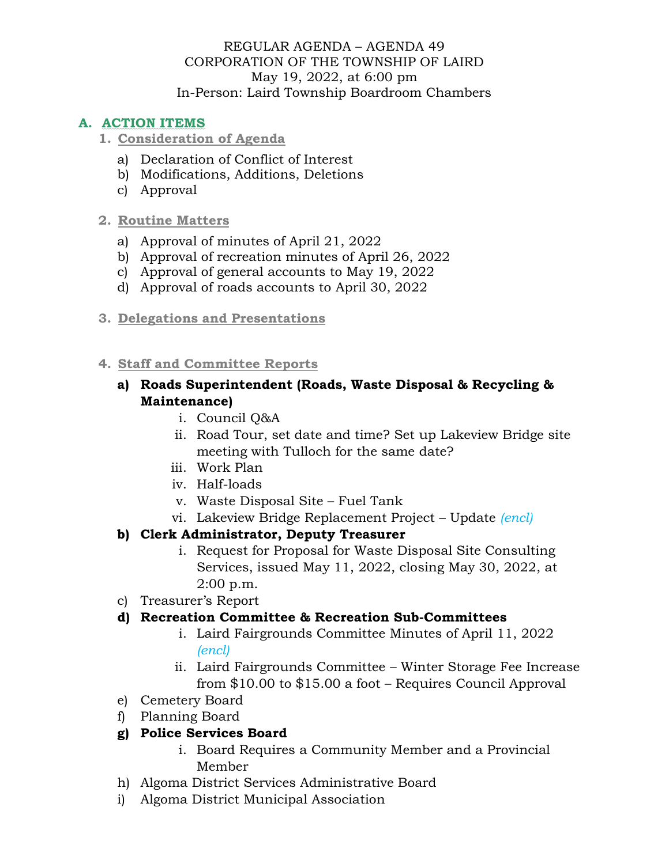#### REGULAR AGENDA – AGENDA 49 CORPORATION OF THE TOWNSHIP OF LAIRD May 19, 2022, at 6:00 pm In-Person: Laird Township Boardroom Chambers

# **A. ACTION ITEMS**

#### **1. Consideration of Agenda**

- a) Declaration of Conflict of Interest
- b) Modifications, Additions, Deletions
- c) Approval

#### **2. Routine Matters**

- a) Approval of minutes of April 21, 2022
- b) Approval of recreation minutes of April 26, 2022
- c) Approval of general accounts to May 19, 2022
- d) Approval of roads accounts to April 30, 2022
- **3. Delegations and Presentations**

#### **4. Staff and Committee Reports**

#### **a) Roads Superintendent (Roads, Waste Disposal & Recycling & Maintenance)**

- i. Council Q&A
- ii. Road Tour, set date and time? Set up Lakeview Bridge site meeting with Tulloch for the same date?
- iii. Work Plan
- iv. Half-loads
- v. Waste Disposal Site Fuel Tank
- vi. Lakeview Bridge Replacement Project Update *(encl)*

### **b) Clerk Administrator, Deputy Treasurer**

- i. Request for Proposal for Waste Disposal Site Consulting Services, issued May 11, 2022, closing May 30, 2022, at 2:00 p.m.
- c) Treasurer's Report

### **d) Recreation Committee & Recreation Sub-Committees**

- i. Laird Fairgrounds Committee Minutes of April 11, 2022 *(encl)*
- ii. Laird Fairgrounds Committee Winter Storage Fee Increase from \$10.00 to \$15.00 a foot – Requires Council Approval
- e) Cemetery Board
- f) Planning Board

### **g) Police Services Board**

- i. Board Requires a Community Member and a Provincial Member
- h) Algoma District Services Administrative Board
- i) Algoma District Municipal Association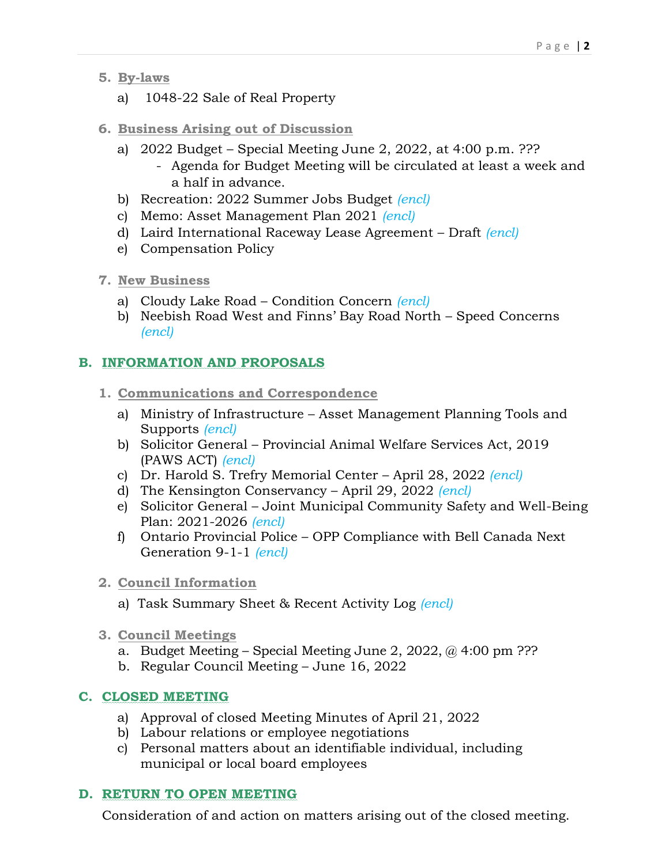- **5. By-laws**
	- a) 1048-22 Sale of Real Property
- **6. Business Arising out of Discussion**
	- a) 2022 Budget Special Meeting June 2, 2022, at 4:00 p.m. ???
		- Agenda for Budget Meeting will be circulated at least a week and a half in advance.
	- b) Recreation: 2022 Summer Jobs Budget *(encl)*
	- c) Memo: Asset Management Plan 2021 *(encl)*
	- d) Laird International Raceway Lease Agreement Draft *(encl)*
	- e) Compensation Policy
- **7. New Business**
	- a) Cloudy Lake Road Condition Concern *(encl)*
	- b) Neebish Road West and Finns' Bay Road North Speed Concerns *(encl)*

# **B. INFORMATION AND PROPOSALS**

- **1. Communications and Correspondence**
	- a) Ministry of Infrastructure Asset Management Planning Tools and Supports *(encl)*
	- b) Solicitor General Provincial Animal Welfare Services Act, 2019 (PAWS ACT) *(encl)*
	- c) Dr. Harold S. Trefry Memorial Center April 28, 2022 *(encl)*
	- d) The Kensington Conservancy April 29, 2022 *(encl)*
	- e) Solicitor General Joint Municipal Community Safety and Well-Being Plan: 2021-2026 *(encl)*
	- f) Ontario Provincial Police OPP Compliance with Bell Canada Next Generation 9-1-1 *(encl)*
- **2. Council Information**
	- a) Task Summary Sheet & Recent Activity Log *(encl)*
- **3. Council Meetings**
	- a. Budget Meeting Special Meeting June 2, 2022,  $\omega$  4:00 pm ???
	- b. Regular Council Meeting June 16, 2022

### **C. CLOSED MEETING**

- a) Approval of closed Meeting Minutes of April 21, 2022
- b) Labour relations or employee negotiations
- c) Personal matters about an identifiable individual, including municipal or local board employees

### **D. RETURN TO OPEN MEETING**

Consideration of and action on matters arising out of the closed meeting.